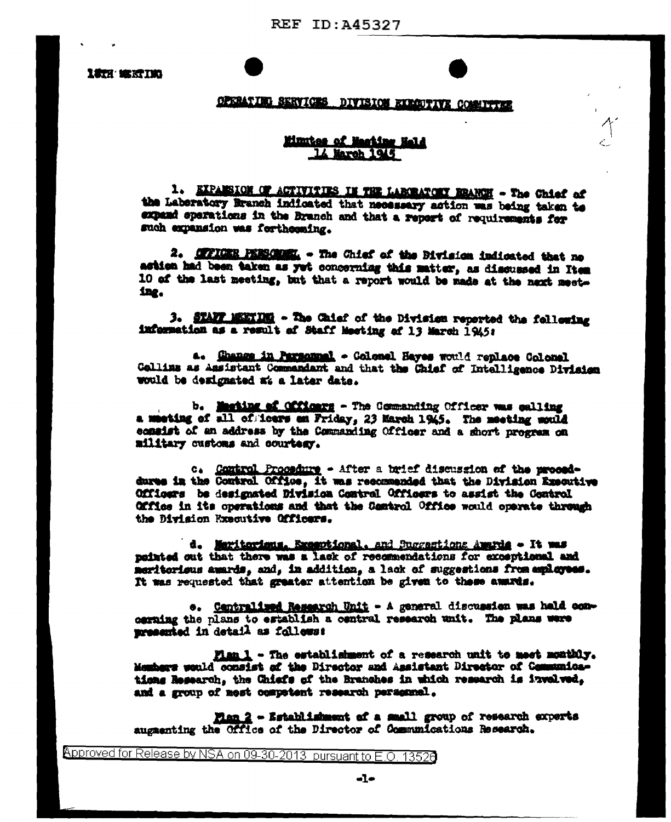**LETH' MEETING** 

## **CPERATING SERVICES DIVISION EXECUTIVE CONSITTEE**

## Minutes of Machine Hald 14 March 1945

1. EXPANSION OF ACTIVITIES IN THE LABORATORY BRANCH - The Chief of the Laboratory Branch indicated that necessary action was being taken to expand operations in the Branch and that a report of requirements for such expansion was fortheoning.

2. OFFICER PERSONNEL - The Chief of the Division indicated that no astion had been taken as yet concerning this matter, as discussed in Item 10 of the last meeting, but that a report would be made at the next meeting.

3. STAFF MEETING - The Caief of the Division reported the following information as a result of Staff Meeting of 13 March 1945:

a. Ghange in Parsammal - Colonel Hayes would replace Colonal Collins as Assistant Commandant and that the Chief of Intelligence Division would be designated at a later date.

b. Masting af Officers - The Commanding Officer was galling a meeting of all of fours an Friday. 23 March 1945. The meeting mould consist of an address by the Commanding Officer and a short progress on military customs and courtesy.

c. Control Procedure - After a brief discussion of the proceddures in the Control Office, it was recommended that the Division Executive Officers be designated Division Control Officers to assist the Control Office in its operations and that the Camtrol Office would operate through the Division Executive Officers.

d. Maritorians. Executional, and Succestions Americ - It was pointed out that there was a lack of recommendations for exceptional and meritorieus awards, and, in addition, a lack of suggestions from ampleyees. It was requested that greater attention be given to these awards.

e. Centralized Research Unit - A general discussion was hald concerning the plans to establish a central research unit. The plans were presented in detail as follows:

Fian 1 - The establishment of a research unit to meet monthly. Members would consist of the Director and Assistant Director of Communications Research. the Chiefs of the Branches in which research is involved. and a group of mest competent research personnel.

Fian 2 - Establishment of a small group of research experts augmenting the Office of the Director of Communications Research.